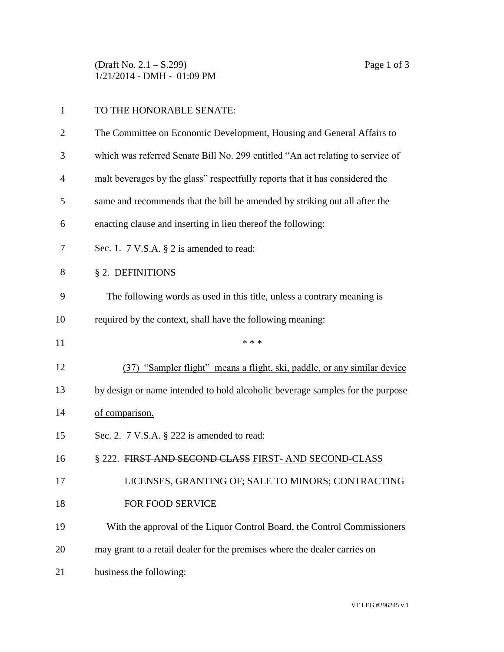(Draft No. 2.1 – S.299) Page 1 of 3 1/21/2014 - DMH - 01:09 PM

| 1              | TO THE HONORABLE SENATE:                                                       |
|----------------|--------------------------------------------------------------------------------|
| $\overline{2}$ | The Committee on Economic Development, Housing and General Affairs to          |
| 3              | which was referred Senate Bill No. 299 entitled "An act relating to service of |
| 4              | malt beverages by the glass" respectfully reports that it has considered the   |
| 5              | same and recommends that the bill be amended by striking out all after the     |
| 6              | enacting clause and inserting in lieu thereof the following:                   |
| 7              | Sec. 1. $7 \text{ V.S.A. } § 2$ is amended to read:                            |
| 8              | § 2. DEFINITIONS                                                               |
| 9              | The following words as used in this title, unless a contrary meaning is        |
| 10             | required by the context, shall have the following meaning:                     |
| 11             | * * *                                                                          |
| 12             | (37) "Sampler flight" means a flight, ski, paddle, or any similar device       |
| 13             | by design or name intended to hold alcoholic beverage samples for the purpose  |
| 14             | of comparison.                                                                 |
| 15             | Sec. 2. $7$ V.S.A. $\S$ 222 is amended to read:                                |
| 16             | § 222. FIRST AND SECOND CLASS FIRST- AND SECOND-CLASS                          |
| 17             | LICENSES, GRANTING OF; SALE TO MINORS; CONTRACTING                             |
| 18             | FOR FOOD SERVICE                                                               |
| 19             | With the approval of the Liquor Control Board, the Control Commissioners       |
| 20             | may grant to a retail dealer for the premises where the dealer carries on      |
| 21             | business the following:                                                        |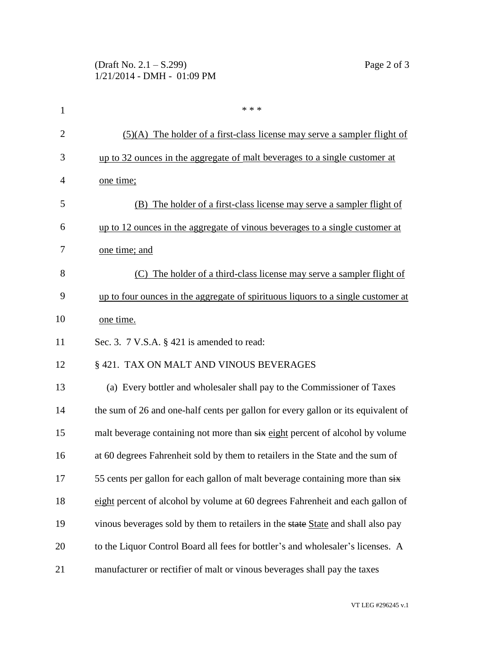| 1              | * * *                                                                             |
|----------------|-----------------------------------------------------------------------------------|
| $\overline{2}$ | $(5)(A)$ The holder of a first-class license may serve a sampler flight of        |
| 3              | up to 32 ounces in the aggregate of <u>malt beverages to a single customer at</u> |
| 4              | one time;                                                                         |
| 5              | The holder of a first-class license may serve a sampler flight of<br>(B)          |
| 6              | up to 12 ounces in the aggregate of vinous beverages to a single customer at      |
| 7              | one time; and                                                                     |
| 8              | (C) The holder of a third-class license may serve a sampler flight of             |
| 9              | up to four ounces in the aggregate of spirituous liquors to a single customer at  |
| 10             | one time.                                                                         |
| 11             | Sec. 3. $7$ V.S.A. $\S$ 421 is amended to read:                                   |
| 12             | § 421. TAX ON MALT AND VINOUS BEVERAGES                                           |
| 13             | (a) Every bottler and wholesaler shall pay to the Commissioner of Taxes           |
| 14             | the sum of 26 and one-half cents per gallon for every gallon or its equivalent of |
| 15             | malt beverage containing not more than six eight percent of alcohol by volume     |
| 16             | at 60 degrees Fahrenheit sold by them to retailers in the State and the sum of    |
| 17             | 55 cents per gallon for each gallon of malt beverage containing more than six     |
| 18             | eight percent of alcohol by volume at 60 degrees Fahrenheit and each gallon of    |
| 19             | vinous beverages sold by them to retailers in the state State and shall also pay  |
| 20             | to the Liquor Control Board all fees for bottler's and wholesaler's licenses. A   |
| 21             | manufacturer or rectifier of malt or vinous beverages shall pay the taxes         |